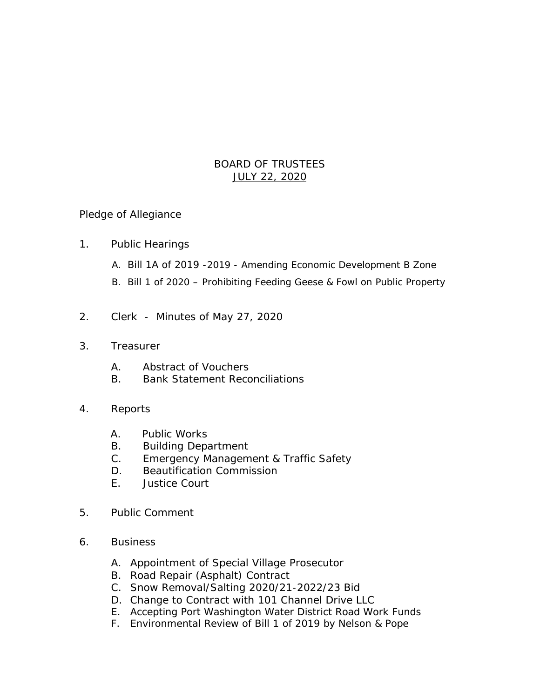## BOARD OF TRUSTEES JULY 22, 2020

## Pledge of Allegiance

- 1. Public Hearings
	- A. Bill 1A of 2019 -2019 Amending Economic Development B Zone
	- B. Bill 1 of 2020 Prohibiting Feeding Geese & Fowl on Public Property
- 2. Clerk Minutes of May 27, 2020
- 3. Treasurer
	- A. Abstract of Vouchers
	- B. Bank Statement Reconciliations
- 4. Reports
	- A. Public Works
	- B. Building Department
	- C. Emergency Management & Traffic Safety
	- D. Beautification Commission
	- E. Justice Court
- 5. Public Comment
- 6. Business
	- A. Appointment of Special Village Prosecutor
	- B. Road Repair (Asphalt) Contract
	- C. Snow Removal/Salting 2020/21-2022/23 Bid
	- D. Change to Contract with 101 Channel Drive LLC
	- E. Accepting Port Washington Water District Road Work Funds
	- F. Environmental Review of Bill 1 of 2019 by Nelson & Pope